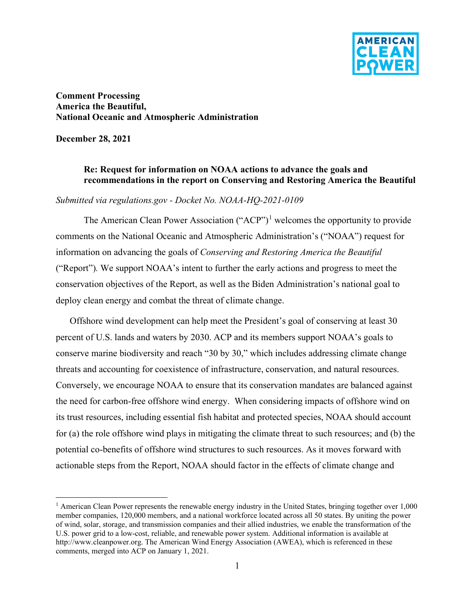

**Comment Processing America the Beautiful, National Oceanic and Atmospheric Administration**

**December 28, 2021**

### **Re: Request for information on NOAA actions to advance the goals and recommendations in the report on Conserving and Restoring America the Beautiful**

#### *Submitted via regulations.gov - Docket No. NOAA-HQ-2021-0109*

The American Clean Power Association (" $ACP$ ")<sup>[1](#page-0-0)</sup> welcomes the opportunity to provide comments on the National Oceanic and Atmospheric Administration's ("NOAA") request for information on advancing the goals of *Conserving and Restoring America the Beautiful* ("Report")*.* We support NOAA's intent to further the early actions and progress to meet the conservation objectives of the Report, as well as the Biden Administration's national goal to deploy clean energy and combat the threat of climate change.

Offshore wind development can help meet the President's goal of conserving at least 30 percent of U.S. lands and waters by 2030. ACP and its members support NOAA's goals to conserve marine biodiversity and reach "30 by 30," which includes addressing climate change threats and accounting for coexistence of infrastructure, conservation, and natural resources. Conversely, we encourage NOAA to ensure that its conservation mandates are balanced against the need for carbon-free offshore wind energy. When considering impacts of offshore wind on its trust resources, including essential fish habitat and protected species, NOAA should account for (a) the role offshore wind plays in mitigating the climate threat to such resources; and (b) the potential co-benefits of offshore wind structures to such resources. As it moves forward with actionable steps from the Report, NOAA should factor in the effects of climate change and

<span id="page-0-0"></span><sup>&</sup>lt;sup>1</sup> American Clean Power represents the renewable energy industry in the United States, bringing together over  $1,000$ member companies, 120,000 members, and a national workforce located across all 50 states. By uniting the power of wind, solar, storage, and transmission companies and their allied industries, we enable the transformation of the U.S. power grid to a low-cost, reliable, and renewable power system. Additional information is available at http://www.cleanpower.org. The American Wind Energy Association (AWEA), which is referenced in these comments, merged into ACP on January 1, 2021.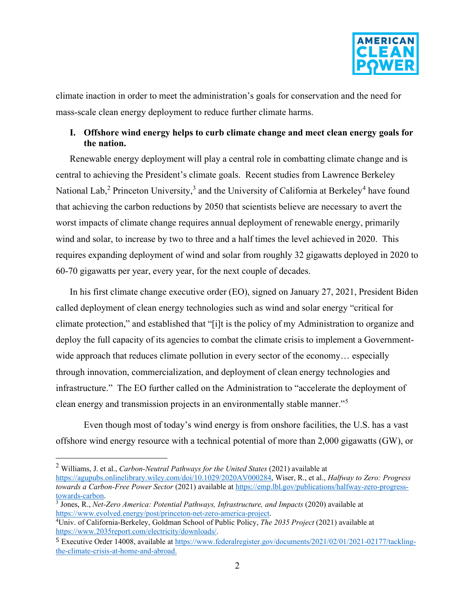

climate inaction in order to meet the administration's goals for conservation and the need for mass-scale clean energy deployment to reduce further climate harms.

## **I. Offshore wind energy helps to curb climate change and meet clean energy goals for the nation.**

Renewable energy deployment will play a central role in combatting climate change and is central to achieving the President's climate goals. Recent studies from Lawrence Berkeley National Lab,<sup>[2](#page-1-0)</sup> Princeton University,<sup>[3](#page-1-1)</sup> and the University of California at Berkeley<sup>[4](#page-1-2)</sup> have found that achieving the carbon reductions by 2050 that scientists believe are necessary to avert the worst impacts of climate change requires annual deployment of renewable energy, primarily wind and solar, to increase by two to three and a half times the level achieved in 2020. This requires expanding deployment of wind and solar from roughly 32 gigawatts deployed in 2020 to 60-70 gigawatts per year, every year, for the next couple of decades.

In his first climate change executive order (EO), signed on January 27, 2021, President Biden called deployment of clean energy technologies such as wind and solar energy "critical for climate protection," and established that "[i]t is the policy of my Administration to organize and deploy the full capacity of its agencies to combat the climate crisis to implement a Governmentwide approach that reduces climate pollution in every sector of the economy... especially through innovation, commercialization, and deployment of clean energy technologies and infrastructure." The EO further called on the Administration to "accelerate the deployment of clean energy and transmission projects in an environmentally stable manner."<sup>[5](#page-1-3)</sup>

Even though most of today's wind energy is from onshore facilities, the U.S. has a vast offshore wind energy resource with a technical potential of more than 2,000 gigawatts (GW), or

<span id="page-1-0"></span><sup>2</sup> Williams, J. et al., *Carbon-Neutral Pathways for the United States* (2021) available at [https://agupubs.onlinelibrary.wiley.com/doi/10.1029/2020AV000284,](https://agupubs.onlinelibrary.wiley.com/doi/10.1029/2020AV000284) Wiser, R., et al., *Halfway to Zero: Progress towards a Carbon-Free Power Sector* (2021) available a[t https://emp.lbl.gov/publications/halfway-zero-progress](https://emp.lbl.gov/publications/halfway-zero-progress-towards-carbon)[towards-carbon.](https://emp.lbl.gov/publications/halfway-zero-progress-towards-carbon)

<span id="page-1-1"></span><sup>3</sup> Jones, R., *Net-Zero America: Potential Pathways, Infrastructure, and Impacts* (2020) available at [https://www.evolved.energy/post/princeton-net-zero-america-project.](https://www.evolved.energy/post/princeton-net-zero-america-project)

<span id="page-1-2"></span><sup>4</sup> Univ. of California-Berkeley, Goldman School of Public Policy, *The 2035 Project* (2021) available at [https://www.2035report.com/electricity/downloads/.](https://www.2035report.com/electricity/downloads/)

<span id="page-1-3"></span><sup>5</sup> Executive Order 14008, available a[t https://www.federalregister.gov/documents/2021/02/01/2021-02177/tackling](https://www.federalregister.gov/documents/2021/02/01/2021-02177/tackling-the-climate-crisis-at-home-and-abroad)[the-climate-crisis-at-home-and-abroad.](https://www.federalregister.gov/documents/2021/02/01/2021-02177/tackling-the-climate-crisis-at-home-and-abroad)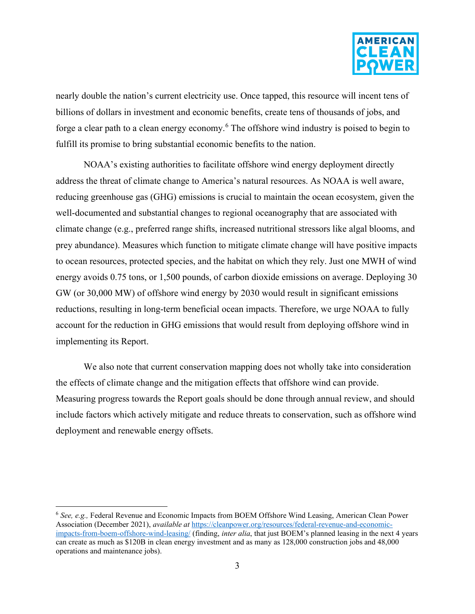

nearly double the nation's current electricity use. Once tapped, this resource will incent tens of billions of dollars in investment and economic benefits, create tens of thousands of jobs, and forge a clear path to a clean energy economy.<sup>[6](#page-2-0)</sup> The offshore wind industry is poised to begin to fulfill its promise to bring substantial economic benefits to the nation.

NOAA's existing authorities to facilitate offshore wind energy deployment directly address the threat of climate change to America's natural resources. As NOAA is well aware, reducing greenhouse gas (GHG) emissions is crucial to maintain the ocean ecosystem, given the well-documented and substantial changes to regional oceanography that are associated with climate change (e.g., preferred range shifts, increased nutritional stressors like algal blooms, and prey abundance). Measures which function to mitigate climate change will have positive impacts to ocean resources, protected species, and the habitat on which they rely. Just one MWH of wind energy avoids 0.75 tons, or 1,500 pounds, of carbon dioxide emissions on average. Deploying 30 GW (or 30,000 MW) of offshore wind energy by 2030 would result in significant emissions reductions, resulting in long-term beneficial ocean impacts. Therefore, we urge NOAA to fully account for the reduction in GHG emissions that would result from deploying offshore wind in implementing its Report.

We also note that current conservation mapping does not wholly take into consideration the effects of climate change and the mitigation effects that offshore wind can provide. Measuring progress towards the Report goals should be done through annual review, and should include factors which actively mitigate and reduce threats to conservation, such as offshore wind deployment and renewable energy offsets.

<span id="page-2-0"></span><sup>6</sup> *See, e.g.,* Federal Revenue and Economic Impacts from BOEM Offshore Wind Leasing, American Clean Power Association (December 2021), *available at* [https://cleanpower.org/resources/federal-revenue-and-economic](https://cleanpower.org/resources/federal-revenue-and-economic-impacts-from-boem-offshore-wind-leasing/)[impacts-from-boem-offshore-wind-leasing/](https://cleanpower.org/resources/federal-revenue-and-economic-impacts-from-boem-offshore-wind-leasing/) (finding, *inter alia*, that just BOEM's planned leasing in the next 4 years can create as much as \$120B in clean energy investment and as many as 128,000 construction jobs and 48,000 operations and maintenance jobs).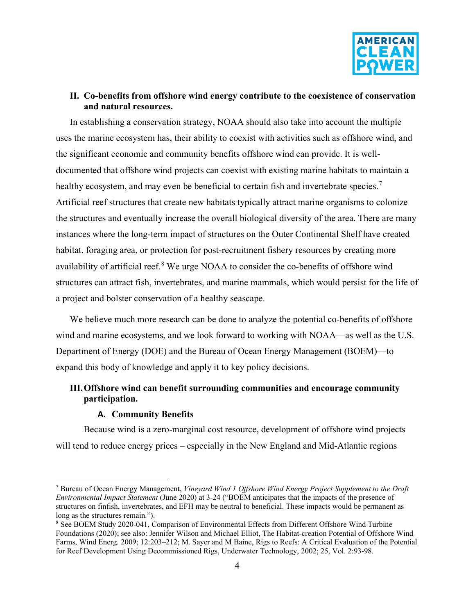

### **II. Co-benefits from offshore wind energy contribute to the coexistence of conservation and natural resources.**

In establishing a conservation strategy, NOAA should also take into account the multiple uses the marine ecosystem has, their ability to coexist with activities such as offshore wind, and the significant economic and community benefits offshore wind can provide. It is welldocumented that offshore wind projects can coexist with existing marine habitats to maintain a healthy ecosystem, and may even be beneficial to certain fish and invertebrate species.<sup>[7](#page-3-0)</sup> Artificial reef structures that create new habitats typically attract marine organisms to colonize the structures and eventually increase the overall biological diversity of the area. There are many instances where the long-term impact of structures on the Outer Continental Shelf have created habitat, foraging area, or protection for post-recruitment fishery resources by creating more availability of artificial reef.<sup>[8](#page-3-1)</sup> We urge NOAA to consider the co-benefits of offshore wind structures can attract fish, invertebrates, and marine mammals, which would persist for the life of a project and bolster conservation of a healthy seascape.

We believe much more research can be done to analyze the potential co-benefits of offshore wind and marine ecosystems, and we look forward to working with NOAA—as well as the U.S. Department of Energy (DOE) and the Bureau of Ocean Energy Management (BOEM)—to expand this body of knowledge and apply it to key policy decisions.

## **III.Offshore wind can benefit surrounding communities and encourage community participation.**

#### **A. Community Benefits**

Because wind is a zero-marginal cost resource, development of offshore wind projects will tend to reduce energy prices – especially in the New England and Mid-Atlantic regions

<span id="page-3-0"></span><sup>7</sup> Bureau of Ocean Energy Management, *Vineyard Wind 1 Offshore Wind Energy Project Supplement to the Draft Environmental Impact Statement* (June 2020) at 3-24 ("BOEM anticipates that the impacts of the presence of structures on finfish, invertebrates, and EFH may be neutral to beneficial. These impacts would be permanent as long as the structures remain.").

<span id="page-3-1"></span><sup>8</sup> See BOEM Study 2020-041, Comparison of Environmental Effects from Different Offshore Wind Turbine Foundations (2020); see also: Jennifer Wilson and Michael Elliot, The Habitat-creation Potential of Offshore Wind Farms, Wind Energ. 2009; 12:203–212; M. Sayer and M Baine, Rigs to Reefs: A Critical Evaluation of the Potential for Reef Development Using Decommissioned Rigs, Underwater Technology, 2002; 25, Vol. 2:93-98.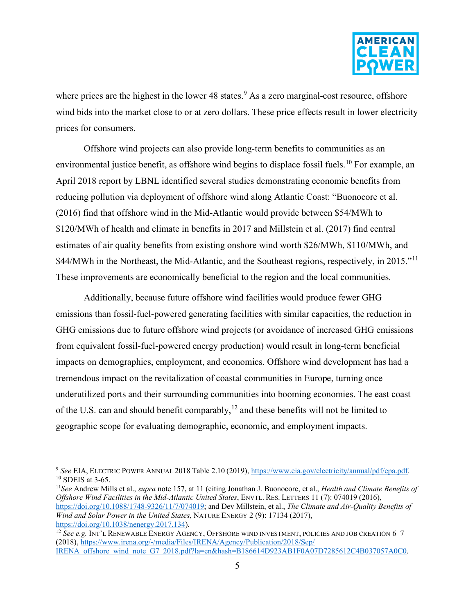

where prices are the highest in the lower  $48$  states.<sup>[9](#page-4-0)</sup> As a zero marginal-cost resource, offshore wind bids into the market close to or at zero dollars. These price effects result in lower electricity prices for consumers.

Offshore wind projects can also provide long-term benefits to communities as an environmental justice benefit, as offshore wind begins to displace fossil fuels.<sup>[10](#page-4-1)</sup> For example, an April 2018 report by LBNL identified several studies demonstrating economic benefits from reducing pollution via deployment of offshore wind along Atlantic Coast: "Buonocore et al. (2016) find that offshore wind in the Mid-Atlantic would provide between \$54/MWh to \$120/MWh of health and climate in benefits in 2017 and Millstein et al. (2017) find central estimates of air quality benefits from existing onshore wind worth \$26/MWh, \$110/MWh, and \$44/MWh in the Northeast, the Mid-Atlantic, and the Southeast regions, respectively, in 2015."<sup>[11](#page-4-2)</sup> These improvements are economically beneficial to the region and the local communities.

Additionally, because future offshore wind facilities would produce fewer GHG emissions than fossil-fuel-powered generating facilities with similar capacities, the reduction in GHG emissions due to future offshore wind projects (or avoidance of increased GHG emissions from equivalent fossil-fuel-powered energy production) would result in long-term beneficial impacts on demographics, employment, and economics. Offshore wind development has had a tremendous impact on the revitalization of coastal communities in Europe, turning once underutilized ports and their surrounding communities into booming economies. The east coast of the U.S. can and should benefit comparably,<sup>[12](#page-4-3)</sup> and these benefits will not be limited to geographic scope for evaluating demographic, economic, and employment impacts.

<span id="page-4-1"></span><span id="page-4-0"></span><sup>9</sup> *See* EIA, ELECTRIC POWER ANNUAL 2018 Table 2.10 (2019), [https://www.eia.gov/electricity/annual/pdf/epa.pdf.](https://www.eia.gov/electricity/annual/pdf/epa.pdf) <sup>10</sup> SDEIS at 3-65.

<span id="page-4-2"></span><sup>11</sup>*See* Andrew Mills et al., *supra* note 157, at 11 (citing Jonathan J. Buonocore, et al., *Health and Climate Benefits of Offshore Wind Facilities in the Mid-Atlantic United States*, ENVTL. RES. LETTERS 11 (7): 074019 (2016), [https://doi.org/10.1088/1748-9326/11/7/074019;](https://doi.org/10.1088/1748-9326/11/7/074019) and Dev Millstein, et al., *The Climate and Air-Quality Benefits of Wind and Solar Power in the United States*, NATURE ENERGY 2 (9): 17134 (2017), https://doi.org/10.1038/nenergy.2017.134).

<span id="page-4-3"></span><sup>&</sup>lt;sup>12</sup> See e.g. INT'L RENEWABLE ENERGY AGENCY, OFFSHORE WIND INVESTMENT, POLICIES AND JOB CREATION 6-7 (2018)[, https://www.irena.org/-/media/Files/IRENA/Agency/Publication/2018/Sep/](https://www.irena.org/-/media/Files/IRENA/Agency/Publication/2018/Sep/%20IRENA_offshore_wind_note_G7_2018.pdf?la=en&hash=B186614D923AB1F0A07D7285612C4B037057A0C0)  [IRENA\\_offshore\\_wind\\_note\\_G7\\_2018.pdf?la=en&hash=B186614D923AB1F0A07D7285612C4B037057A0C0.](https://www.irena.org/-/media/Files/IRENA/Agency/Publication/2018/Sep/%20IRENA_offshore_wind_note_G7_2018.pdf?la=en&hash=B186614D923AB1F0A07D7285612C4B037057A0C0)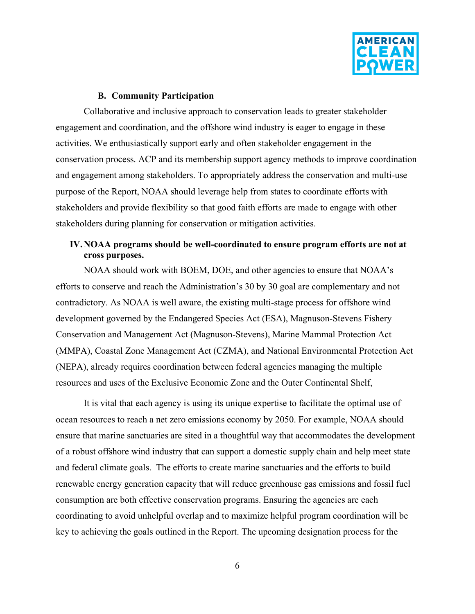

### **B. Community Participation**

Collaborative and inclusive approach to conservation leads to greater stakeholder engagement and coordination, and the offshore wind industry is eager to engage in these activities. We enthusiastically support early and often stakeholder engagement in the conservation process. ACP and its membership support agency methods to improve coordination and engagement among stakeholders. To appropriately address the conservation and multi-use purpose of the Report, NOAA should leverage help from states to coordinate efforts with stakeholders and provide flexibility so that good faith efforts are made to engage with other stakeholders during planning for conservation or mitigation activities.

# **IV.NOAA programs should be well-coordinated to ensure program efforts are not at cross purposes.**

NOAA should work with BOEM, DOE, and other agencies to ensure that NOAA's efforts to conserve and reach the Administration's 30 by 30 goal are complementary and not contradictory. As NOAA is well aware, the existing multi-stage process for offshore wind development governed by the Endangered Species Act (ESA), Magnuson-Stevens Fishery Conservation and Management Act (Magnuson-Stevens), Marine Mammal Protection Act (MMPA), Coastal Zone Management Act (CZMA), and National Environmental Protection Act (NEPA), already requires coordination between federal agencies managing the multiple resources and uses of the Exclusive Economic Zone and the Outer Continental Shelf,

It is vital that each agency is using its unique expertise to facilitate the optimal use of ocean resources to reach a net zero emissions economy by 2050. For example, NOAA should ensure that marine sanctuaries are sited in a thoughtful way that accommodates the development of a robust offshore wind industry that can support a domestic supply chain and help meet state and federal climate goals. The efforts to create marine sanctuaries and the efforts to build renewable energy generation capacity that will reduce greenhouse gas emissions and fossil fuel consumption are both effective conservation programs. Ensuring the agencies are each coordinating to avoid unhelpful overlap and to maximize helpful program coordination will be key to achieving the goals outlined in the Report. The upcoming designation process for the